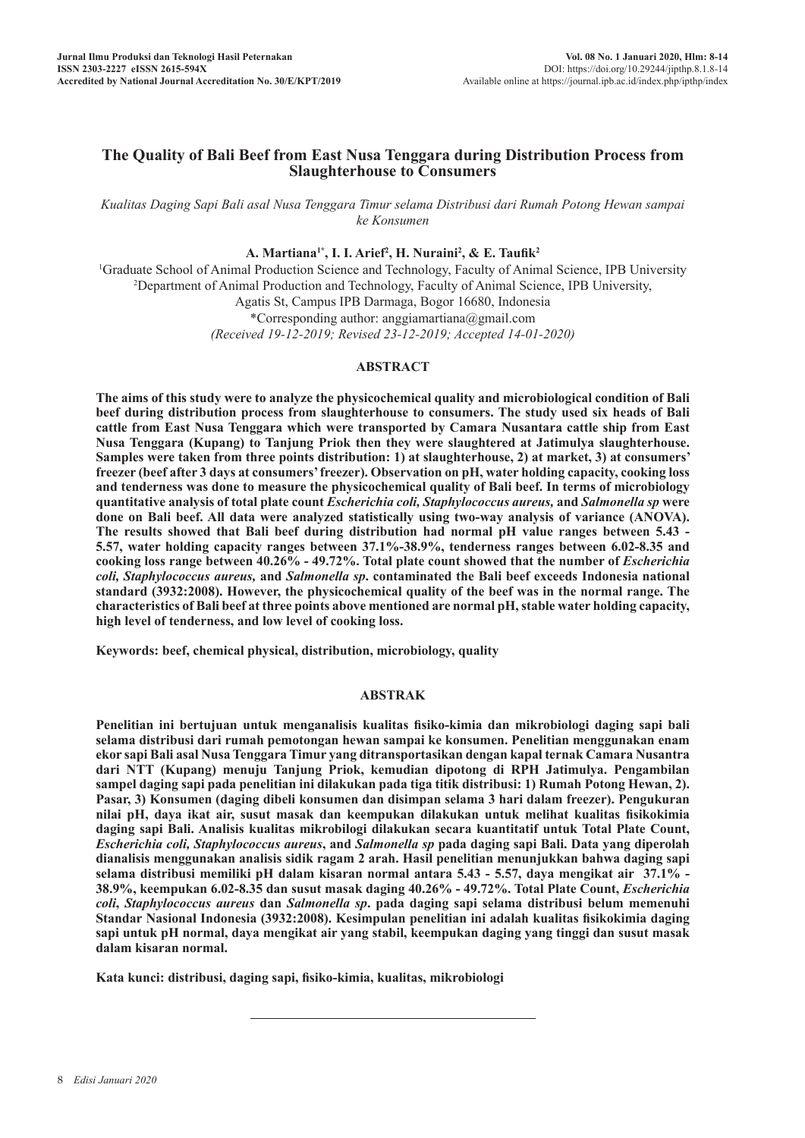# **The Quality of Bali Beef from East Nusa Tenggara during Distribution Process from Slaughterhouse to Consumers**

*Kualitas Daging Sapi Bali asal Nusa Tenggara Timur selama Distribusi dari Rumah Potong Hewan sampai ke Konsumen*

## **A. Martiana1\*, I. I. Arief2 , H. Nuraini2 , & E. Taufik<sup>2</sup>**

1 Graduate School of Animal Production Science and Technology, Faculty of Animal Science, IPB University 2 Department of Animal Production and Technology, Faculty of Animal Science, IPB University, Agatis St, Campus IPB Darmaga, Bogor 16680, Indonesia \*Corresponding author: anggiamartiana@gmail.com *(Received 19-12-2019; Revised 23-12-2019; Accepted 14-01-2020)*

## **ABSTRACT**

**The aims of this study were to analyze the physicochemical quality and microbiological condition of Bali beef during distribution process from slaughterhouse to consumers. The study used six heads of Bali cattle from East Nusa Tenggara which were transported by Camara Nusantara cattle ship from East Nusa Tenggara (Kupang) to Tanjung Priok then they were slaughtered at Jatimulya slaughterhouse. Samples were taken from three points distribution: 1) at slaughterhouse, 2) at market, 3) at consumers' freezer (beef after 3 days at consumers' freezer). Observation on pH, water holding capacity, cooking loss and tenderness was done to measure the physicochemical quality of Bali beef. In terms of microbiology quantitative analysis of total plate count** *Escherichia coli, Staphylococcus aureus,* **and** *Salmonella sp* **were done on Bali beef. All data were analyzed statistically using two-way analysis of variance (ANOVA). The results showed that Bali beef during distribution had normal pH value ranges between 5.43 - 5.57, water holding capacity ranges between 37.1%-38.9%, tenderness ranges between 6.02-8.35 and cooking loss range between 40.26% - 49.72%. Total plate count showed that the number of** *Escherichia coli, Staphylococcus aureus,* **and** *Salmonella sp***. contaminated the Bali beef exceeds Indonesia national standard (3932:2008). However, the physicochemical quality of the beef was in the normal range. The characteristics of Bali beef at three points above mentioned are normal pH, stable water holding capacity, high level of tenderness, and low level of cooking loss.** 

**Keywords: beef, chemical physical, distribution, microbiology, quality**

### **ABSTRAK**

**Penelitian ini bertujuan untuk menganalisis kualitas fisiko-kimia dan mikrobiologi daging sapi bali selama distribusi dari rumah pemotongan hewan sampai ke konsumen. Penelitian menggunakan enam ekor sapi Bali asal Nusa Tenggara Timur yang ditransportasikan dengan kapal ternak Camara Nusantra dari NTT (Kupang) menuju Tanjung Priok, kemudian dipotong di RPH Jatimulya. Pengambilan sampel daging sapi pada penelitian ini dilakukan pada tiga titik distribusi: 1) Rumah Potong Hewan, 2). Pasar, 3) Konsumen (daging dibeli konsumen dan disimpan selama 3 hari dalam freezer). Pengukuran nilai pH, daya ikat air, susut masak dan keempukan dilakukan untuk melihat kualitas fisikokimia daging sapi Bali. Analisis kualitas mikrobilogi dilakukan secara kuantitatif untuk Total Plate Count,**  *Escherichia coli, Staphylococcus aureus***, and** *Salmonella sp* **pada daging sapi Bali. Data yang diperolah dianalisis menggunakan analisis sidik ragam 2 arah. Hasil penelitian menunjukkan bahwa daging sapi selama distribusi memiliki pH dalam kisaran normal antara 5.43 - 5.57, daya mengikat air 37.1% -**  38.9%, keempukan 6.02-8.35 dan susut masak daging 40.26% - 49.72%. Total Plate Count, *Escherichia coli***,** *Staphylococcus aureus* **dan** *Salmonella sp***. pada daging sapi selama distribusi belum memenuhi Standar Nasional Indonesia (3932:2008). Kesimpulan penelitian ini adalah kualitas fisikokimia daging sapi untuk pH normal, daya mengikat air yang stabil, keempukan daging yang tinggi dan susut masak dalam kisaran normal.** 

**Kata kunci: distribusi, daging sapi, fisiko-kimia, kualitas, mikrobiologi**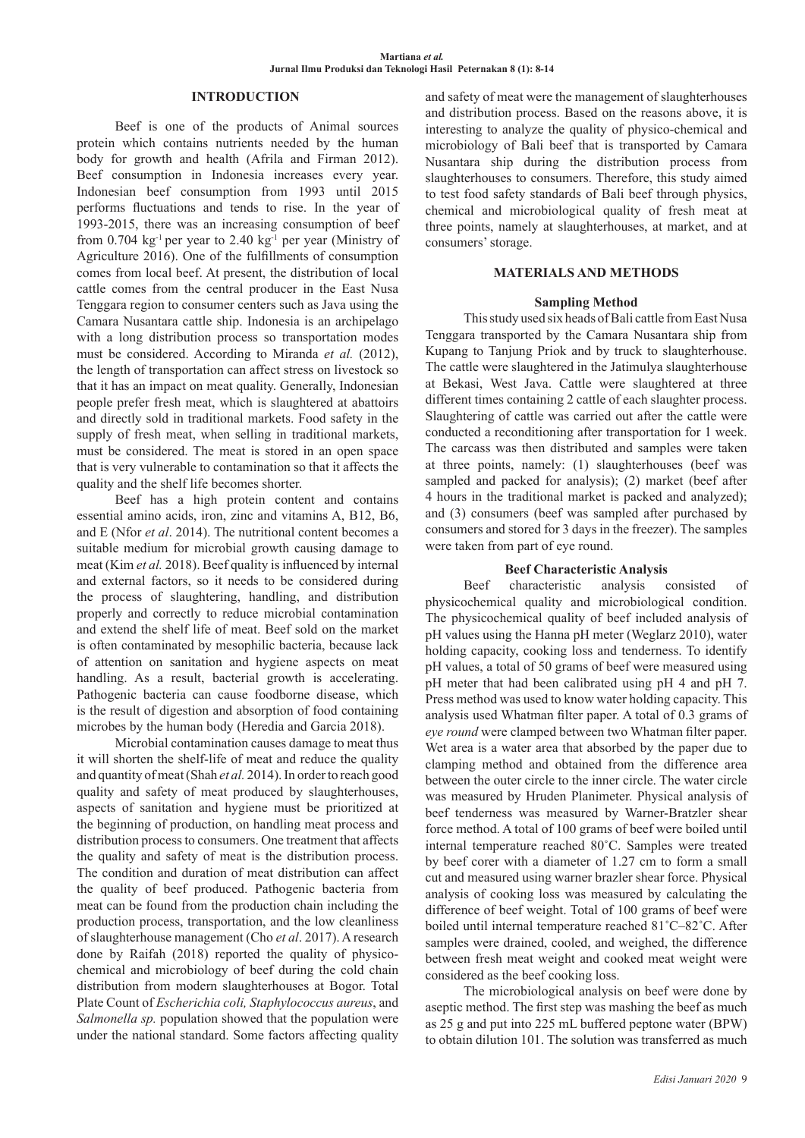### **INTRODUCTION**

Beef is one of the products of Animal sources protein which contains nutrients needed by the human body for growth and health (Afrila and Firman 2012). Beef consumption in Indonesia increases every year. Indonesian beef consumption from 1993 until 2015 performs fluctuations and tends to rise. In the year of 1993-2015, there was an increasing consumption of beef from  $0.704 \text{ kg}^{-1}$  per year to  $2.40 \text{ kg}^{-1}$  per year (Ministry of Agriculture 2016). One of the fulfillments of consumption comes from local beef. At present, the distribution of local cattle comes from the central producer in the East Nusa Tenggara region to consumer centers such as Java using the Camara Nusantara cattle ship. Indonesia is an archipelago with a long distribution process so transportation modes must be considered. According to Miranda *et al.* (2012), the length of transportation can affect stress on livestock so that it has an impact on meat quality. Generally, Indonesian people prefer fresh meat, which is slaughtered at abattoirs and directly sold in traditional markets. Food safety in the supply of fresh meat, when selling in traditional markets, must be considered. The meat is stored in an open space that is very vulnerable to contamination so that it affects the quality and the shelf life becomes shorter.

Beef has a high protein content and contains essential amino acids, iron, zinc and vitamins A, B12, B6, and E (Nfor *et al*. 2014). The nutritional content becomes a suitable medium for microbial growth causing damage to meat (Kim *et al.* 2018). Beef quality is influenced by internal and external factors, so it needs to be considered during the process of slaughtering, handling, and distribution properly and correctly to reduce microbial contamination and extend the shelf life of meat. Beef sold on the market is often contaminated by mesophilic bacteria, because lack of attention on sanitation and hygiene aspects on meat handling. As a result, bacterial growth is accelerating. Pathogenic bacteria can cause foodborne disease, which is the result of digestion and absorption of food containing microbes by the human body (Heredia and Garcia 2018).

Microbial contamination causes damage to meat thus it will shorten the shelf-life of meat and reduce the quality and quantity of meat (Shah *et al.* 2014). In order to reach good quality and safety of meat produced by slaughterhouses, aspects of sanitation and hygiene must be prioritized at the beginning of production, on handling meat process and distribution process to consumers. One treatment that affects the quality and safety of meat is the distribution process. The condition and duration of meat distribution can affect the quality of beef produced. Pathogenic bacteria from meat can be found from the production chain including the production process, transportation, and the low cleanliness of slaughterhouse management (Cho *et al*. 2017). A research done by Raifah (2018) reported the quality of physicochemical and microbiology of beef during the cold chain distribution from modern slaughterhouses at Bogor. Total Plate Count of *Escherichia coli, Staphylococcus aureus*, and *Salmonella sp.* population showed that the population were under the national standard. Some factors affecting quality

and safety of meat were the management of slaughterhouses and distribution process. Based on the reasons above, it is interesting to analyze the quality of physico-chemical and microbiology of Bali beef that is transported by Camara Nusantara ship during the distribution process from slaughterhouses to consumers. Therefore, this study aimed to test food safety standards of Bali beef through physics, chemical and microbiological quality of fresh meat at three points, namely at slaughterhouses, at market, and at consumers' storage.

## **MATERIALS AND METHODS**

#### **Sampling Method**

This study used six heads of Bali cattle from East Nusa Tenggara transported by the Camara Nusantara ship from Kupang to Tanjung Priok and by truck to slaughterhouse. The cattle were slaughtered in the Jatimulya slaughterhouse at Bekasi, West Java. Cattle were slaughtered at three different times containing 2 cattle of each slaughter process. Slaughtering of cattle was carried out after the cattle were conducted a reconditioning after transportation for 1 week. The carcass was then distributed and samples were taken at three points, namely: (1) slaughterhouses (beef was sampled and packed for analysis); (2) market (beef after 4 hours in the traditional market is packed and analyzed); and (3) consumers (beef was sampled after purchased by consumers and stored for 3 days in the freezer). The samples were taken from part of eye round.

### **Beef Characteristic Analysis**

Beef characteristic analysis consisted of physicochemical quality and microbiological condition. The physicochemical quality of beef included analysis of pH values using the Hanna pH meter (Weglarz 2010), water holding capacity, cooking loss and tenderness. To identify pH values, a total of 50 grams of beef were measured using pH meter that had been calibrated using pH 4 and pH 7. Press method was used to know water holding capacity. This analysis used Whatman filter paper. A total of 0.3 grams of *eye round* were clamped between two Whatman filter paper. Wet area is a water area that absorbed by the paper due to clamping method and obtained from the difference area between the outer circle to the inner circle. The water circle was measured by Hruden Planimeter. Physical analysis of beef tenderness was measured by Warner-Bratzler shear force method. A total of 100 grams of beef were boiled until internal temperature reached 80˚C. Samples were treated by beef corer with a diameter of 1.27 cm to form a small cut and measured using warner brazler shear force. Physical analysis of cooking loss was measured by calculating the difference of beef weight. Total of 100 grams of beef were boiled until internal temperature reached 81˚C–82˚C. After samples were drained, cooled, and weighed, the difference between fresh meat weight and cooked meat weight were considered as the beef cooking loss.

The microbiological analysis on beef were done by aseptic method. The first step was mashing the beef as much as 25 g and put into 225 mL buffered peptone water (BPW) to obtain dilution 101. The solution was transferred as much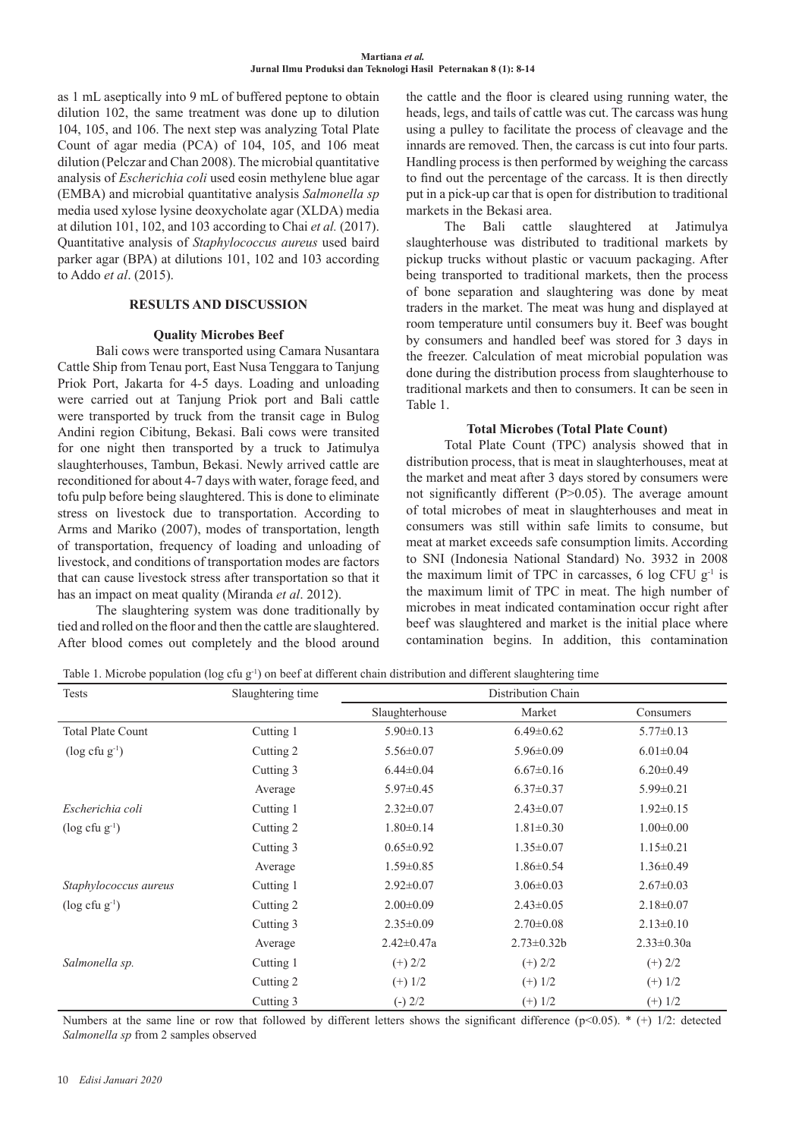as 1 mL aseptically into 9 mL of buffered peptone to obtain dilution 102, the same treatment was done up to dilution 104, 105, and 106. The next step was analyzing Total Plate Count of agar media (PCA) of 104, 105, and 106 meat dilution (Pelczar and Chan 2008). The microbial quantitative analysis of *Escherichia coli* used eosin methylene blue agar (EMBA) and microbial quantitative analysis *Salmonella sp*  media used xylose lysine deoxycholate agar (XLDA) media at dilution 101, 102, and 103 according to Chai *et al.* (2017). Quantitative analysis of *Staphylococcus aureus* used baird parker agar (BPA) at dilutions 101, 102 and 103 according to Addo *et al*. (2015).

## **RESULTS AND DISCUSSION**

## **Quality Microbes Beef**

Bali cows were transported using Camara Nusantara Cattle Ship from Tenau port, East Nusa Tenggara to Tanjung Priok Port, Jakarta for 4-5 days. Loading and unloading were carried out at Tanjung Priok port and Bali cattle were transported by truck from the transit cage in Bulog Andini region Cibitung, Bekasi. Bali cows were transited for one night then transported by a truck to Jatimulya slaughterhouses, Tambun, Bekasi. Newly arrived cattle are reconditioned for about 4-7 days with water, forage feed, and tofu pulp before being slaughtered. This is done to eliminate stress on livestock due to transportation. According to Arms and Mariko (2007), modes of transportation, length of transportation, frequency of loading and unloading of livestock, and conditions of transportation modes are factors that can cause livestock stress after transportation so that it has an impact on meat quality (Miranda *et al*. 2012).

The slaughtering system was done traditionally by tied and rolled on the floor and then the cattle are slaughtered. After blood comes out completely and the blood around

the cattle and the floor is cleared using running water, the heads, legs, and tails of cattle was cut. The carcass was hung using a pulley to facilitate the process of cleavage and the innards are removed. Then, the carcass is cut into four parts. Handling process is then performed by weighing the carcass to find out the percentage of the carcass. It is then directly put in a pick-up car that is open for distribution to traditional markets in the Bekasi area.

The Bali cattle slaughtered at Jatimulya slaughterhouse was distributed to traditional markets by pickup trucks without plastic or vacuum packaging. After being transported to traditional markets, then the process of bone separation and slaughtering was done by meat traders in the market. The meat was hung and displayed at room temperature until consumers buy it. Beef was bought by consumers and handled beef was stored for 3 days in the freezer. Calculation of meat microbial population was done during the distribution process from slaughterhouse to traditional markets and then to consumers. It can be seen in Table 1.

## **Total Microbes (Total Plate Count)**

Total Plate Count (TPC) analysis showed that in distribution process, that is meat in slaughterhouses, meat at the market and meat after 3 days stored by consumers were not significantly different (P>0.05). The average amount of total microbes of meat in slaughterhouses and meat in consumers was still within safe limits to consume, but meat at market exceeds safe consumption limits. According to SNI (Indonesia National Standard) No. 3932 in 2008 the maximum limit of TPC in carcasses, 6 log CFU g-1 is the maximum limit of TPC in meat. The high number of microbes in meat indicated contamination occur right after beef was slaughtered and market is the initial place where contamination begins. In addition, this contamination

Table 1. Microbe population (log cfu  $g^{-1}$ ) on beef at different chain distribution and different slaughtering time

| Tests                          | Slaughtering time | Distribution Chain |                   |                  |  |
|--------------------------------|-------------------|--------------------|-------------------|------------------|--|
|                                |                   | Slaughterhouse     | Market            | Consumers        |  |
| <b>Total Plate Count</b>       | Cutting 1         | $5.90 \pm 0.13$    | $6.49 \pm 0.62$   | $5.77 \pm 0.13$  |  |
| $(\log c$ fu g <sup>-1</sup> ) | Cutting 2         | $5.56 \pm 0.07$    | $5.96 \pm 0.09$   | $6.01 \pm 0.04$  |  |
|                                | Cutting 3         | $6.44 \pm 0.04$    | $6.67 \pm 0.16$   | $6.20 \pm 0.49$  |  |
|                                | Average           | $5.97 \pm 0.45$    | $6.37 \pm 0.37$   | $5.99 \pm 0.21$  |  |
| Escherichia coli               | Cutting 1         | $2.32 \pm 0.07$    | $2.43 \pm 0.07$   | $1.92 \pm 0.15$  |  |
| $(\log c$ fu g <sup>-1</sup> ) | Cutting 2         | $1.80 \pm 0.14$    | $1.81 \pm 0.30$   | $1.00 \pm 0.00$  |  |
|                                | Cutting 3         | $0.65 \pm 0.92$    | $1.35 \pm 0.07$   | $1.15 \pm 0.21$  |  |
|                                | Average           | $1.59 \pm 0.85$    | $1.86 \pm 0.54$   | $1.36 \pm 0.49$  |  |
| Staphylococcus aureus          | Cutting 1         | $2.92 \pm 0.07$    | $3.06 \pm 0.03$   | $2.67 \pm 0.03$  |  |
| $(\log c$ fu g <sup>-1</sup> ) | Cutting 2         | $2.00 \pm 0.09$    | $2.43 \pm 0.05$   | $2.18 \pm 0.07$  |  |
|                                | Cutting 3         | $2.35 \pm 0.09$    | $2.70 \pm 0.08$   | $2.13 \pm 0.10$  |  |
|                                | Average           | $2.42 \pm 0.47a$   | $2.73 \pm 0.32 b$ | $2.33 \pm 0.30a$ |  |
| Salmonella sp.                 | Cutting 1         | $(+)$ 2/2          | $(+)$ 2/2         | $(+)$ 2/2        |  |
|                                | Cutting 2         | $(+)$ 1/2          | $(+)$ 1/2         | $(+)$ 1/2        |  |
|                                | Cutting 3         | $(-) 2/2$          | $(+)$ 1/2         | $(+)$ 1/2        |  |

Numbers at the same line or row that followed by different letters shows the significant difference ( $p<0.05$ ). \* (+) 1/2: detected *Salmonella sp* from 2 samples observed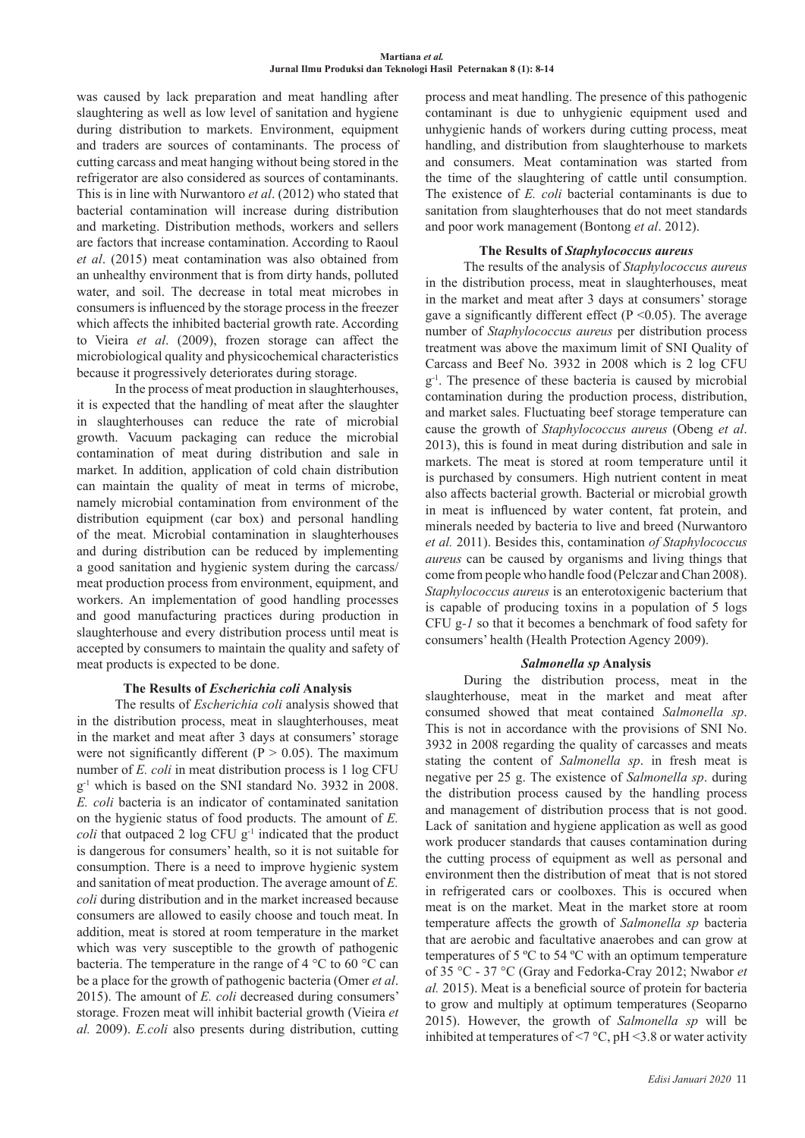was caused by lack preparation and meat handling after slaughtering as well as low level of sanitation and hygiene during distribution to markets. Environment, equipment and traders are sources of contaminants. The process of cutting carcass and meat hanging without being stored in the refrigerator are also considered as sources of contaminants. This is in line with Nurwantoro *et al*. (2012) who stated that bacterial contamination will increase during distribution and marketing. Distribution methods, workers and sellers are factors that increase contamination. According to Raoul *et al*. (2015) meat contamination was also obtained from an unhealthy environment that is from dirty hands, polluted water, and soil. The decrease in total meat microbes in consumers is influenced by the storage process in the freezer which affects the inhibited bacterial growth rate. According to Vieira *et al*. (2009), frozen storage can affect the microbiological quality and physicochemical characteristics because it progressively deteriorates during storage.

In the process of meat production in slaughterhouses, it is expected that the handling of meat after the slaughter in slaughterhouses can reduce the rate of microbial growth. Vacuum packaging can reduce the microbial contamination of meat during distribution and sale in market. In addition, application of cold chain distribution can maintain the quality of meat in terms of microbe, namely microbial contamination from environment of the distribution equipment (car box) and personal handling of the meat. Microbial contamination in slaughterhouses and during distribution can be reduced by implementing a good sanitation and hygienic system during the carcass/ meat production process from environment, equipment, and workers. An implementation of good handling processes and good manufacturing practices during production in slaughterhouse and every distribution process until meat is accepted by consumers to maintain the quality and safety of meat products is expected to be done.

## **The Results of** *Escherichia coli* **Analysis**

The results of *Escherichia coli* analysis showed that in the distribution process, meat in slaughterhouses, meat in the market and meat after 3 days at consumers' storage were not significantly different ( $P > 0.05$ ). The maximum number of *E. coli* in meat distribution process is 1 log CFU g-1 which is based on the SNI standard No. 3932 in 2008. *E. coli* bacteria is an indicator of contaminated sanitation on the hygienic status of food products. The amount of *E. coli* that outpaced 2 log CFU g<sup>-1</sup> indicated that the product is dangerous for consumers' health, so it is not suitable for consumption. There is a need to improve hygienic system and sanitation of meat production. The average amount of *E. coli* during distribution and in the market increased because consumers are allowed to easily choose and touch meat. In addition, meat is stored at room temperature in the market which was very susceptible to the growth of pathogenic bacteria. The temperature in the range of 4 °C to 60 °C can be a place for the growth of pathogenic bacteria (Omer *et al*. 2015). The amount of *E. coli* decreased during consumers' storage. Frozen meat will inhibit bacterial growth (Vieira *et al.* 2009). *E.coli* also presents during distribution, cutting

process and meat handling. The presence of this pathogenic contaminant is due to unhygienic equipment used and unhygienic hands of workers during cutting process, meat handling, and distribution from slaughterhouse to markets and consumers. Meat contamination was started from the time of the slaughtering of cattle until consumption. The existence of *E. coli* bacterial contaminants is due to sanitation from slaughterhouses that do not meet standards and poor work management (Bontong *et al*. 2012).

## **The Results of** *Staphylococcus aureus*

The results of the analysis of *Staphylococcus aureus* in the distribution process, meat in slaughterhouses, meat in the market and meat after 3 days at consumers' storage gave a significantly different effect ( $P \le 0.05$ ). The average number of *Staphylococcus aureus* per distribution process treatment was above the maximum limit of SNI Quality of Carcass and Beef No. 3932 in 2008 which is 2 log CFU  $g<sup>-1</sup>$ . The presence of these bacteria is caused by microbial contamination during the production process, distribution, and market sales. Fluctuating beef storage temperature can cause the growth of *Staphylococcus aureus* (Obeng *et al*. 2013), this is found in meat during distribution and sale in markets. The meat is stored at room temperature until it is purchased by consumers. High nutrient content in meat also affects bacterial growth. Bacterial or microbial growth in meat is influenced by water content, fat protein, and minerals needed by bacteria to live and breed (Nurwantoro *et al.* 2011). Besides this, contamination *of Staphylococcus aureus* can be caused by organisms and living things that come from people who handle food (Pelczar and Chan 2008). *Staphylococcus aureus* is an enterotoxigenic bacterium that is capable of producing toxins in a population of 5 logs CFU g*-1* so that it becomes a benchmark of food safety for consumers' health (Health Protection Agency 2009).

## *Salmonella sp* **Analysis**

During the distribution process, meat in the slaughterhouse, meat in the market and meat after consumed showed that meat contained *Salmonella sp*. This is not in accordance with the provisions of SNI No. 3932 in 2008 regarding the quality of carcasses and meats stating the content of *Salmonella sp*. in fresh meat is negative per 25 g. The existence of *Salmonella sp*. during the distribution process caused by the handling process and management of distribution process that is not good. Lack of sanitation and hygiene application as well as good work producer standards that causes contamination during the cutting process of equipment as well as personal and environment then the distribution of meat that is not stored in refrigerated cars or coolboxes. This is occured when meat is on the market. Meat in the market store at room temperature affects the growth of *Salmonella sp* bacteria that are aerobic and facultative anaerobes and can grow at temperatures of 5 ºC to 54 ºC with an optimum temperature of 35 °C - 37 °C (Gray and Fedorka-Cray 2012; Nwabor *et al.* 2015). Meat is a beneficial source of protein for bacteria to grow and multiply at optimum temperatures (Seoparno 2015). However, the growth of *Salmonella sp* will be inhibited at temperatures of  $\leq$   $\degree$  C, pH  $\leq$  3.8 or water activity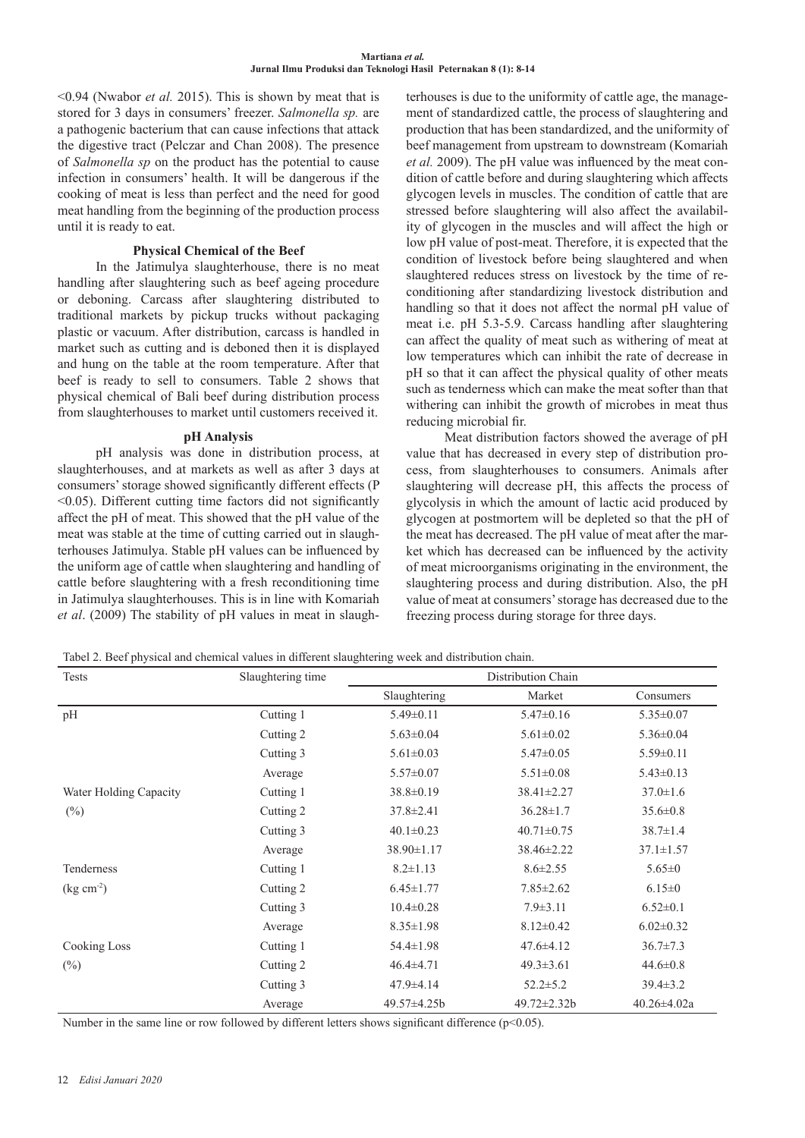<0.94 (Nwabor *et al.* 2015). This is shown by meat that is stored for 3 days in consumers' freezer. *Salmonella sp.* are a pathogenic bacterium that can cause infections that attack the digestive tract (Pelczar and Chan 2008). The presence of *Salmonella sp* on the product has the potential to cause infection in consumers' health. It will be dangerous if the cooking of meat is less than perfect and the need for good meat handling from the beginning of the production process until it is ready to eat.

## **Physical Chemical of the Beef**

In the Jatimulya slaughterhouse, there is no meat handling after slaughtering such as beef ageing procedure or deboning. Carcass after slaughtering distributed to traditional markets by pickup trucks without packaging plastic or vacuum. After distribution, carcass is handled in market such as cutting and is deboned then it is displayed and hung on the table at the room temperature. After that beef is ready to sell to consumers. Table 2 shows that physical chemical of Bali beef during distribution process from slaughterhouses to market until customers received it.

## **pH Analysis**

pH analysis was done in distribution process, at slaughterhouses, and at markets as well as after 3 days at consumers' storage showed significantly different effects (P <0.05). Different cutting time factors did not significantly affect the pH of meat. This showed that the pH value of the meat was stable at the time of cutting carried out in slaughterhouses Jatimulya. Stable pH values can be influenced by the uniform age of cattle when slaughtering and handling of cattle before slaughtering with a fresh reconditioning time in Jatimulya slaughterhouses. This is in line with Komariah *et al*. (2009) The stability of pH values in meat in slaughterhouses is due to the uniformity of cattle age, the management of standardized cattle, the process of slaughtering and production that has been standardized, and the uniformity of beef management from upstream to downstream (Komariah *et al.* 2009). The pH value was influenced by the meat condition of cattle before and during slaughtering which affects glycogen levels in muscles. The condition of cattle that are stressed before slaughtering will also affect the availability of glycogen in the muscles and will affect the high or low pH value of post-meat. Therefore, it is expected that the condition of livestock before being slaughtered and when slaughtered reduces stress on livestock by the time of reconditioning after standardizing livestock distribution and handling so that it does not affect the normal pH value of meat i.e. pH 5.3-5.9. Carcass handling after slaughtering can affect the quality of meat such as withering of meat at low temperatures which can inhibit the rate of decrease in pH so that it can affect the physical quality of other meats such as tenderness which can make the meat softer than that withering can inhibit the growth of microbes in meat thus reducing microbial fir.

Meat distribution factors showed the average of pH value that has decreased in every step of distribution process, from slaughterhouses to consumers. Animals after slaughtering will decrease pH, this affects the process of glycolysis in which the amount of lactic acid produced by glycogen at postmortem will be depleted so that the pH of the meat has decreased. The pH value of meat after the market which has decreased can be influenced by the activity of meat microorganisms originating in the environment, the slaughtering process and during distribution. Also, the pH value of meat at consumers' storage has decreased due to the freezing process during storage for three days.

Tabel 2. Beef physical and chemical values in different slaughtering week and distribution chain.

| Tests                  | Slaughtering time | Distribution Chain |                  |                   |
|------------------------|-------------------|--------------------|------------------|-------------------|
|                        |                   | Slaughtering       | Market           | Consumers         |
| pH                     | Cutting 1         | $5.49 \pm 0.11$    | $5.47 \pm 0.16$  | $5.35 \pm 0.07$   |
|                        | Cutting 2         | $5.63 \pm 0.04$    | $5.61 \pm 0.02$  | $5.36 \pm 0.04$   |
|                        | Cutting 3         | $5.61 \pm 0.03$    | $5.47 \pm 0.05$  | $5.59 \pm 0.11$   |
|                        | Average           | $5.57 \pm 0.07$    | $5.51 \pm 0.08$  | $5.43 \pm 0.13$   |
| Water Holding Capacity | Cutting 1         | $38.8 \pm 0.19$    | 38.41±2.27       | $37.0 \pm 1.6$    |
| (%)                    | Cutting 2         | $37.8 \pm 2.41$    | $36.28 \pm 1.7$  | $35.6 \pm 0.8$    |
|                        | Cutting 3         | $40.1 \pm 0.23$    | $40.71 \pm 0.75$ | $38.7 \pm 1.4$    |
|                        | Average           | $38.90 \pm 1.17$   | $38.46 \pm 2.22$ | $37.1 \pm 1.57$   |
| Tenderness             | Cutting 1         | $8.2 \pm 1.13$     | $8.6 \pm 2.55$   | $5.65 \pm 0$      |
| $(\text{kg cm}^2)$     | Cutting 2         | $6.45 \pm 1.77$    | $7.85 \pm 2.62$  | $6.15 \pm 0$      |
|                        | Cutting 3         | $10.4 \pm 0.28$    | $7.9 \pm 3.11$   | $6.52 \pm 0.1$    |
|                        | Average           | $8.35 \pm 1.98$    | $8.12 \pm 0.42$  | $6.02 \pm 0.32$   |
| <b>Cooking Loss</b>    | Cutting 1         | $54.4 \pm 1.98$    | $47.6 \pm 4.12$  | $36.7 \pm 7.3$    |
| $(\%)$                 | Cutting 2         | $46.4 \pm 4.71$    | $49.3 \pm 3.61$  | $44.6 \pm 0.8$    |
|                        | Cutting 3         | $47.9 \pm 4.14$    | $52.2 \pm 5.2$   | $39.4 \pm 3.2$    |
|                        | Average           | $49.57 \pm 4.25b$  | 49.72±2.32b      | $40.26 \pm 4.02a$ |

Number in the same line or row followed by different letters shows significant difference ( $p<0.05$ ).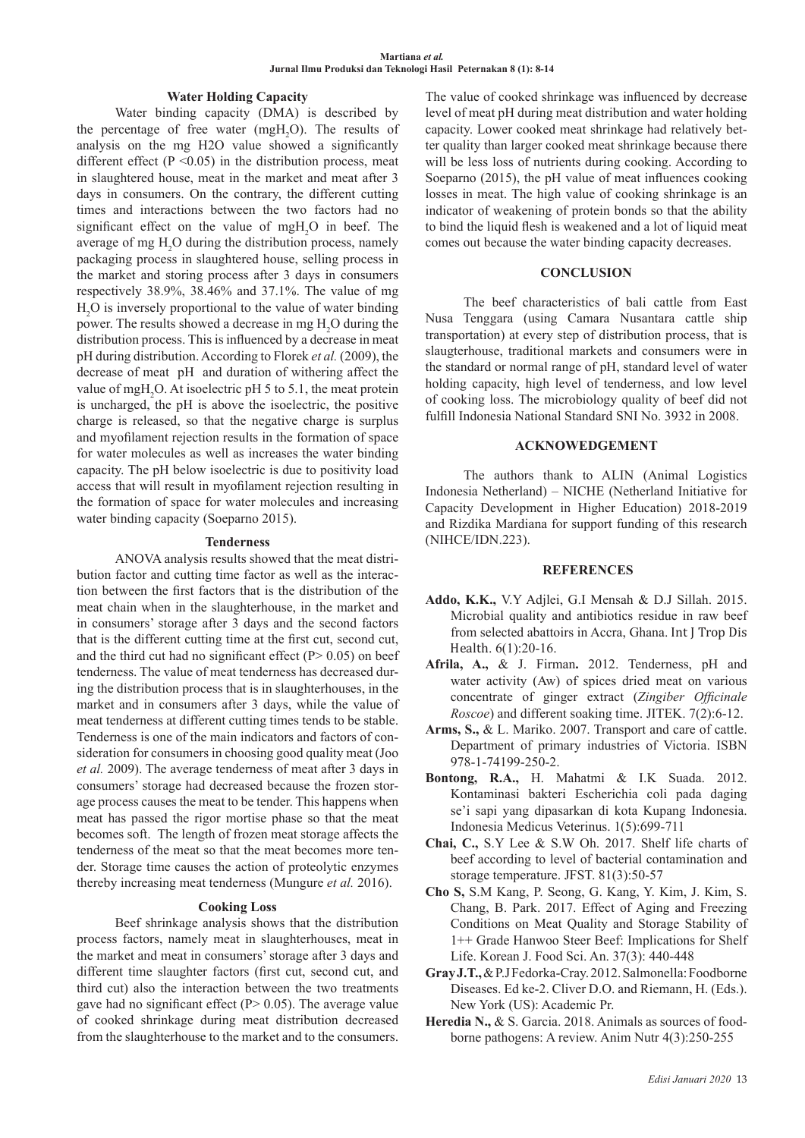## **Water Holding Capacity**

Water binding capacity (DMA) is described by the percentage of free water  $(mgH_2O)$ . The results of analysis on the mg H2O value showed a significantly different effect  $(P \le 0.05)$  in the distribution process, meat in slaughtered house, meat in the market and meat after 3 days in consumers. On the contrary, the different cutting times and interactions between the two factors had no significant effect on the value of  $mgH<sub>2</sub>O$  in beef. The average of mg  $H_2O$  during the distribution process, namely packaging process in slaughtered house, selling process in the market and storing process after 3 days in consumers respectively 38.9%, 38.46% and 37.1%. The value of mg H2 O is inversely proportional to the value of water binding power. The results showed a decrease in mg  $H_2O$  during the distribution process. This is influenced by a decrease in meat pH during distribution. According to Florek *et al.* (2009), the decrease of meat pH and duration of withering affect the value of mgH<sub>2</sub>O. At isoelectric pH 5 to 5.1, the meat protein is uncharged, the pH is above the isoelectric, the positive charge is released, so that the negative charge is surplus and myofilament rejection results in the formation of space for water molecules as well as increases the water binding capacity. The pH below isoelectric is due to positivity load access that will result in myofilament rejection resulting in the formation of space for water molecules and increasing water binding capacity (Soeparno 2015).

#### **Tenderness**

ANOVA analysis results showed that the meat distribution factor and cutting time factor as well as the interaction between the first factors that is the distribution of the meat chain when in the slaughterhouse, in the market and in consumers' storage after 3 days and the second factors that is the different cutting time at the first cut, second cut, and the third cut had no significant effect  $(P> 0.05)$  on beef tenderness. The value of meat tenderness has decreased during the distribution process that is in slaughterhouses, in the market and in consumers after 3 days, while the value of meat tenderness at different cutting times tends to be stable. Tenderness is one of the main indicators and factors of consideration for consumers in choosing good quality meat (Joo *et al.* 2009). The average tenderness of meat after 3 days in consumers' storage had decreased because the frozen storage process causes the meat to be tender. This happens when meat has passed the rigor mortise phase so that the meat becomes soft. The length of frozen meat storage affects the tenderness of the meat so that the meat becomes more tender. Storage time causes the action of proteolytic enzymes thereby increasing meat tenderness (Mungure *et al.* 2016).

### **Cooking Loss**

Beef shrinkage analysis shows that the distribution process factors, namely meat in slaughterhouses, meat in the market and meat in consumers' storage after 3 days and different time slaughter factors (first cut, second cut, and third cut) also the interaction between the two treatments gave had no significant effect ( $P > 0.05$ ). The average value of cooked shrinkage during meat distribution decreased from the slaughterhouse to the market and to the consumers.

The value of cooked shrinkage was influenced by decrease level of meat pH during meat distribution and water holding capacity. Lower cooked meat shrinkage had relatively better quality than larger cooked meat shrinkage because there will be less loss of nutrients during cooking. According to Soeparno (2015), the pH value of meat influences cooking losses in meat. The high value of cooking shrinkage is an indicator of weakening of protein bonds so that the ability to bind the liquid flesh is weakened and a lot of liquid meat comes out because the water binding capacity decreases.

#### **CONCLUSION**

The beef characteristics of bali cattle from East Nusa Tenggara (using Camara Nusantara cattle ship transportation) at every step of distribution process, that is slaugterhouse, traditional markets and consumers were in the standard or normal range of pH, standard level of water holding capacity, high level of tenderness, and low level of cooking loss. The microbiology quality of beef did not fulfill Indonesia National Standard SNI No. 3932 in 2008.

### **ACKNOWEDGEMENT**

The authors thank to ALIN (Animal Logistics Indonesia Netherland) – NICHE (Netherland Initiative for Capacity Development in Higher Education) 2018-2019 and Rizdika Mardiana for support funding of this research (NIHCE/IDN.223).

## **REFERENCES**

- **Addo, K.K.,** V.Y Adjlei, G.I Mensah & D.J Sillah. 2015. Microbial quality and antibiotics residue in raw beef from selected abattoirs in Accra, Ghana. Int J Trop Dis Health. 6(1):20-16.
- **Afrila, A.,** & J. Firman**.** 2012. Tenderness, pH and water activity (Aw) of spices dried meat on various concentrate of ginger extract (*Zingiber Officinale Roscoe*) and different soaking time. JITEK. 7(2):6-12.
- **Arms, S.,** & L. Mariko. 2007. Transport and care of cattle. Department of primary industries of Victoria. ISBN 978-1-74199-250-2.
- **Bontong, R.A.,** H. Mahatmi & I.K Suada. 2012. Kontaminasi bakteri Escherichia coli pada daging se'i sapi yang dipasarkan di kota Kupang Indonesia. Indonesia Medicus Veterinus. 1(5):699-711
- **Chai, C.,** S.Y Lee & S.W Oh. 2017. Shelf life charts of beef according to level of bacterial contamination and storage temperature. JFST. 81(3):50-57
- **Cho S,** S.M Kang, P. Seong, G. Kang, Y. Kim, J. Kim, S. Chang, B. Park. 2017. Effect of Aging and Freezing Conditions on Meat Quality and Storage Stability of 1++ Grade Hanwoo Steer Beef: Implications for Shelf Life. Korean J. Food Sci. An. 37(3): 440-448
- **Gray J.T.,** & P.J Fedorka-Cray. 2012. Salmonella: Foodborne Diseases. Ed ke-2. Cliver D.O. and Riemann, H. (Eds.). New York (US): Academic Pr.
- **Heredia N.,** & S. Garcia. 2018. Animals as sources of foodborne pathogens: A review. Anim Nutr 4(3):250-255